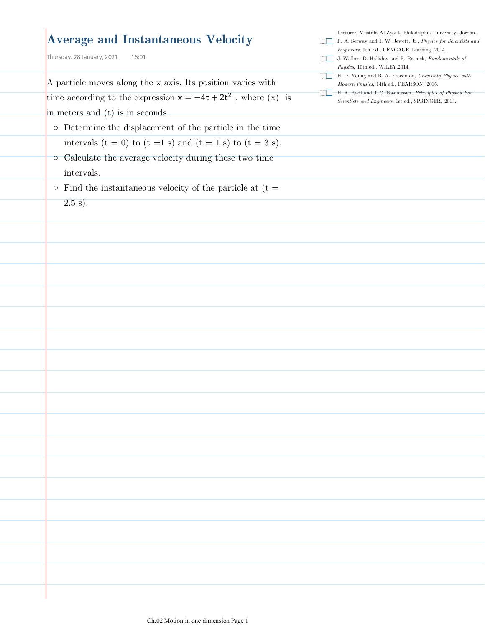#### **Average and Instantaneous Velocity**

Thursday, 28 January, 2021  $16:01$ 

A particle moves along the x axis. Its position varies with time according to the expression  $x = -4t + 2t^2$ , where  $(x)$  is in meters and (t) is in seconds. o Determine the displacement of the particle in the time intervals  $(t = 0)$  to  $(t = 1 s)$  and  $(t = 1 s)$  to  $(t = 3 s)$ . ○ Calculate the average velocity during these two time intervals.  $\circ$  Find the instantaneous velocity of the particle at (t =  $(2.5 \text{ s}).$ J. Walker, D. Halliday and R. Resnick, *Fundamentals of Physics*, 10th ed., WILEY,2014. H. D. Young and R. A. Freedman, *University Physics with Modern Physics*, 14th ed., PEARSON, 2016. H. A. Radi and J. O. Rasmussen, *Principles of Physics For Scientists and Engineers*, 1st ed., SPRINGER, 2013.

Lecturer: Mustafa Al-Zyout, Philadelphia University, Jordan. R. A. Serway and J. W. Jewett, Jr., *Physics for Scientists and Engineers*, 9th Ed., CENGAGE Learning, 2014.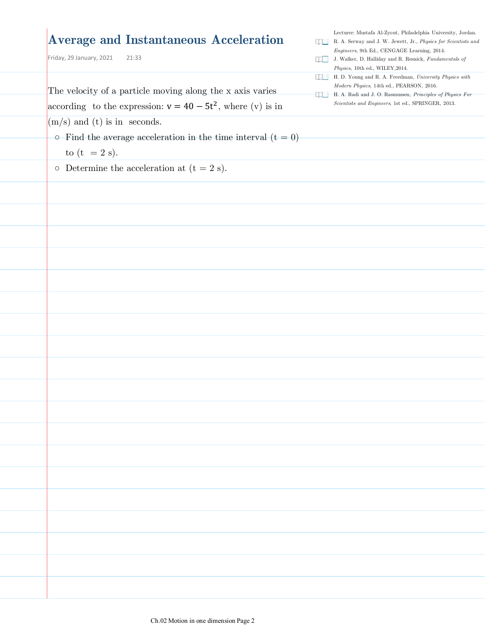| <b>Average and Instantaneous Acceleration</b><br>Friday, 29 January, 2021<br>21:33 | na k<br>R. A. Serway and J. W. Jewett, Jr., Physics for Scientists and<br>Engineers, 9th Ed., CENGAGE Learning, 2014.<br>J. Walker, D. Halliday and R. Resnick, Fundamentals of<br>Physics, 10th ed., WILEY, 2014. |
|------------------------------------------------------------------------------------|--------------------------------------------------------------------------------------------------------------------------------------------------------------------------------------------------------------------|
| The velocity of a particle moving along the x axis varies                          | H. D. Young and R. A. Freedman, University Physics with<br>uu l<br>Modern Physics, 14th ed., PEARSON, 2016.                                                                                                        |
| according to the expression: $v = 40 - 5t^2$ , where (v) is in                     | H. A. Radi and J. O. Rasmussen, Principles of Physics For<br>Scientists and Engineers, 1st ed., SPRINGER, 2013.                                                                                                    |
| $(m/s)$ and (t) is in seconds.                                                     |                                                                                                                                                                                                                    |
| $\circ$ -Find the average acceleration in the time interval (t = 0)                |                                                                                                                                                                                                                    |
| to $(t = 2 s)$ .                                                                   |                                                                                                                                                                                                                    |
| $\circ$ Determine the acceleration at (t = 2 s).                                   |                                                                                                                                                                                                                    |
|                                                                                    |                                                                                                                                                                                                                    |
|                                                                                    |                                                                                                                                                                                                                    |
|                                                                                    |                                                                                                                                                                                                                    |
|                                                                                    |                                                                                                                                                                                                                    |
|                                                                                    |                                                                                                                                                                                                                    |
|                                                                                    |                                                                                                                                                                                                                    |
|                                                                                    |                                                                                                                                                                                                                    |
|                                                                                    |                                                                                                                                                                                                                    |
|                                                                                    |                                                                                                                                                                                                                    |
|                                                                                    |                                                                                                                                                                                                                    |
|                                                                                    |                                                                                                                                                                                                                    |
|                                                                                    |                                                                                                                                                                                                                    |
|                                                                                    |                                                                                                                                                                                                                    |
|                                                                                    |                                                                                                                                                                                                                    |
|                                                                                    |                                                                                                                                                                                                                    |
|                                                                                    |                                                                                                                                                                                                                    |
|                                                                                    |                                                                                                                                                                                                                    |
|                                                                                    |                                                                                                                                                                                                                    |
|                                                                                    |                                                                                                                                                                                                                    |
|                                                                                    |                                                                                                                                                                                                                    |
|                                                                                    |                                                                                                                                                                                                                    |
|                                                                                    |                                                                                                                                                                                                                    |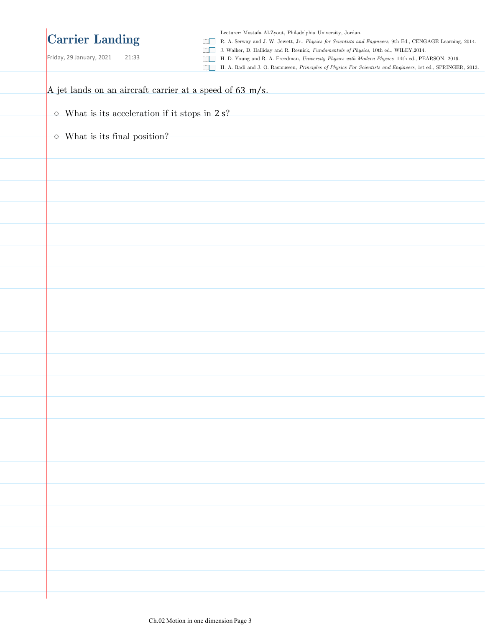## **Carrier Landing**

Friday, 29 January, 2021 21:33

Lecturer: Mustafa Al-Zyout, Philadelphia University, Jordan.

R. A. Serway and J. W. Jewett, Jr., *Physics for Scientists and Engineers*, 9th Ed., CENGAGE Learning, 2014.

J. Walker, D. Halliday and R. Resnick, *Fundamentals of Physics*, 10th ed., WILEY,2014.

H. D. Young and R. A. Freedman, *University Physics with Modern Physics*, 14th ed., PEARSON, 2016.

H. A. Radi and J. O. Rasmussen, *Principles of Physics For Scientists and Engineers*, 1st ed., SPRINGER, 2013.

| A jet lands on an aircraft carrier at a speed of 63 m/s. |
|----------------------------------------------------------|
| $\circ$ -What is its acceleration if it stops in $2$ s?  |
| $\circ$ -What is its final position?                     |
|                                                          |
|                                                          |
|                                                          |
|                                                          |
|                                                          |
|                                                          |
|                                                          |
|                                                          |
|                                                          |
|                                                          |
|                                                          |
|                                                          |
|                                                          |
|                                                          |
|                                                          |
|                                                          |
|                                                          |
|                                                          |
|                                                          |
|                                                          |
|                                                          |
|                                                          |
|                                                          |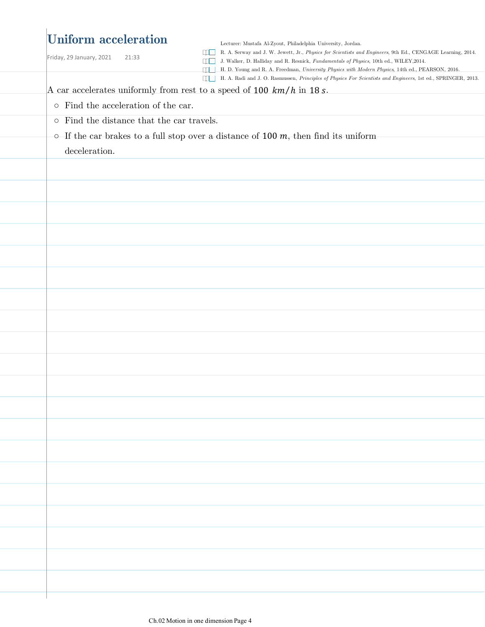## **Uniform acceleration**

Friday, 29 January, 2021  $21:33$ 

Lecturer: Mustafa Al-Zyout, Philadelphia University, Jordan.

R. A. Serway and J. W. Jewett, Jr., *Physics for Scientists and Engineers*, 9th Ed., CENGAGE Learning, 2014.

J. Walker, D. Halliday and R. Resnick, *Fundamentals of Physics*, 10th ed., WILEY,2014.

H. D. Young and R. A. Freedman, *University Physics with Modern Physics*, 14th ed., PEARSON, 2016.

H. A. Radi and J. O. Rasmussen, *Principles of Physics For Scientists and Engineers*, 1st ed., SPRINGER, 2013.

A car accelerates uniformly from rest to a speed of 100  $km/h$  in 18 s.

- Find the acceleration of the car.
- Find the distance that the car travels.
- $\circ$  If the car brakes to a full stop over a distance of 100  $m$ , then find its uniform

deceleration.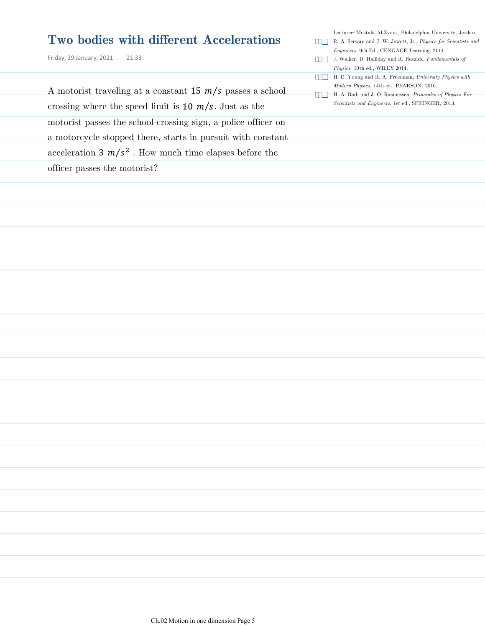### **Two bodies with different Accelerations**

Friday, 29 January, 2021  $21:33$ 

A motorist traveling at a constant 15  $m/s$  passes a school crossing where the speed limit is  $10 \frac{m}{s}$ . Just as the motorist passes the school-crossing sign, a police officer on a motorcycle stopped there, starts in pursuit with constant acceleration  $3 \frac{m}{s^2}$ . How much time elapses before the officer passes the motorist?

Lecturer: Mustafa Al-Zyout, Philadelphia University, Jordan.

- R. A. Serway and J. W. Jewett, Jr., *Physics for Scientists and Engineers*, 9th Ed., CENGAGE Learning, 2014.
- J. Walker, D. Halliday and R. Resnick, *Fundamentals of Physics*, 10th ed., WILEY,2014.
- H. D. Young and R. A. Freedman, *University Physics with Modern Physics*, 14th ed., PEARSON, 2016.
- H. A. Radi and J. O. Rasmussen, *Principles of Physics For Scientists and Engineers*, 1st ed., SPRINGER, 2013.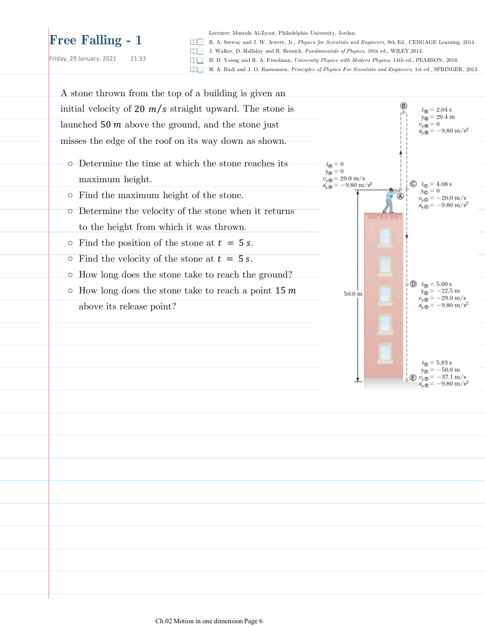# **Free Falling - 1**

Friday, 29 January, 2021 21:33

Lecturer: Mustafa Al-Zyout, Philadelphia University, Jordan.

R. A. Serway and J. W. Jewett, Jr., *Physics for Scientists and Engineers*, 9th Ed., CENGAGE Learning, 2014.

J. Walker, D. Halliday and R. Resnick, *Fundamentals of Physics*, 10th ed., WILEY,2014.

H. D. Young and R. A. Freedman, *University Physics with Modern Physics*, 14th ed., PEARSON, 2016.

H. A. Radi and J. O. Rasmussen, *Principles of Physics For Scientists and Engineers*, 1st ed., SPRINGER, 2013.